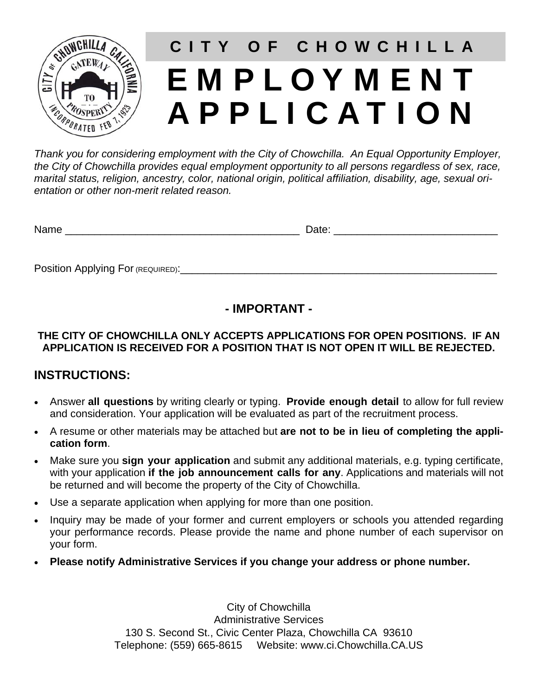

# EMPLOYMENT APPLICATION **CITY OF CHOWCHILLA**

*Thank you for considering employment with the City of Chowchilla. An Equal Opportunity Employer, the City of Chowchilla provides equal employment opportunity to all persons regardless of sex, race, marital status, religion, ancestry, color, national origin, political affiliation, disability, age, sexual orientation or other non-merit related reason.* 

Name \_\_\_\_\_\_\_\_\_\_\_\_\_\_\_\_\_\_\_\_\_\_\_\_\_\_\_\_\_\_\_\_\_\_\_\_\_\_\_\_ Date: \_\_\_\_\_\_\_\_\_\_\_\_\_\_\_\_\_\_\_\_\_\_\_\_\_\_\_\_

Position Applying For (REQUIRED):\_\_\_\_\_\_\_\_\_\_\_\_\_\_\_\_\_\_\_\_\_\_\_\_\_\_\_\_\_\_\_\_\_\_\_\_\_\_\_\_\_\_\_\_\_\_\_\_\_\_\_\_\_\_

## **- IMPORTANT -**

#### **THE CITY OF CHOWCHILLA ONLY ACCEPTS APPLICATIONS FOR OPEN POSITIONS. IF AN APPLICATION IS RECEIVED FOR A POSITION THAT IS NOT OPEN IT WILL BE REJECTED.**

### **INSTRUCTIONS:**

- Answer **all questions** by writing clearly or typing. **Provide enough detail** to allow for full review and consideration. Your application will be evaluated as part of the recruitment process.
- A resume or other materials may be attached but **are not to be in lieu of completing the application form**.
- Make sure you **sign your application** and submit any additional materials, e.g. typing certificate, with your application **if the job announcement calls for any**. Applications and materials will not be returned and will become the property of the City of Chowchilla.
- Use a separate application when applying for more than one position.
- Inquiry may be made of your former and current employers or schools you attended regarding your performance records. Please provide the name and phone number of each supervisor on your form.
- **Please notify Administrative Services if you change your address or phone number.**

City of Chowchilla Administrative Services 130 S. Second St., Civic Center Plaza, Chowchilla CA 93610 Telephone: (559) 665-8615 Website: www.ci.Chowchilla.CA.US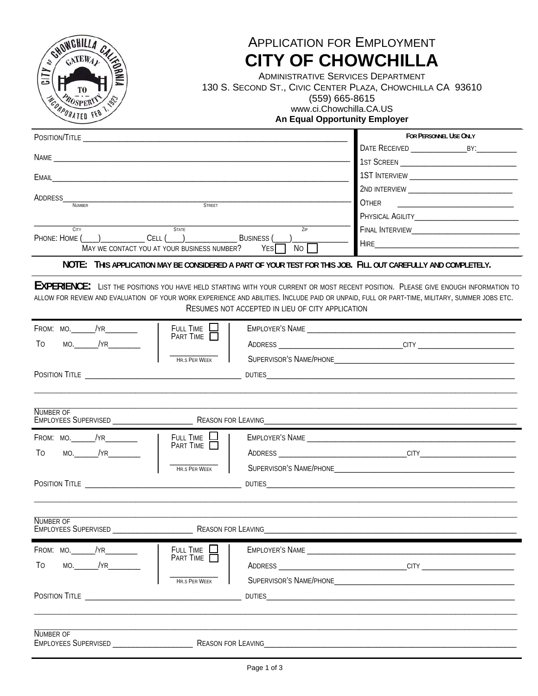| SHOWGHILLA<br>GATERAL<br>os<br><b>EQRNIA</b><br>117<br>NOORPORATED FEB                                                                                                                                                               |                                   |                                                  | <b>APPLICATION FOR EMPLOYMENT</b><br><b>CITY OF CHOWCHILLA</b><br><b>ADMINISTRATIVE SERVICES DEPARTMENT</b><br>130 S. SECOND ST., CIVIC CENTER PLAZA, CHOWCHILLA CA 93610<br>(559) 665-8615<br>www.ci.Chowchilla.CA.US<br><b>An Equal Opportunity Employer</b>                            |  |  |
|--------------------------------------------------------------------------------------------------------------------------------------------------------------------------------------------------------------------------------------|-----------------------------------|--------------------------------------------------|-------------------------------------------------------------------------------------------------------------------------------------------------------------------------------------------------------------------------------------------------------------------------------------------|--|--|
| POSITION/TITLE <b>And CONTACT CONTACT CONTACT AND CONTACT CONTACT CONTACT CONTACT CONTACT CONTACT CONTACT CONTACT CONTACT CONTACT CONTACT CONTACT CONTACT CONTACT CONTACT CONTACT CONTACT CONTACT CONTACT CONTACT CONTACT CONTAC</b> |                                   |                                                  | FOR PERSONNEL USE ONLY                                                                                                                                                                                                                                                                    |  |  |
|                                                                                                                                                                                                                                      |                                   |                                                  |                                                                                                                                                                                                                                                                                           |  |  |
|                                                                                                                                                                                                                                      |                                   |                                                  |                                                                                                                                                                                                                                                                                           |  |  |
| ADDRESS                                                                                                                                                                                                                              |                                   |                                                  | <b>OTHER</b>                                                                                                                                                                                                                                                                              |  |  |
| <b>NUMBER</b>                                                                                                                                                                                                                        |                                   |                                                  |                                                                                                                                                                                                                                                                                           |  |  |
| <b>CITY</b><br>PHONE: HOME () CELL ()                                                                                                                                                                                                | <b>STATE</b><br><b>BUSINESS</b> ( | $7$ IP                                           |                                                                                                                                                                                                                                                                                           |  |  |
| MAY WE CONTACT YOU AT YOUR BUSINESS NUMBER?                                                                                                                                                                                          |                                   | <b>No</b><br><b>YES</b>                          |                                                                                                                                                                                                                                                                                           |  |  |
|                                                                                                                                                                                                                                      |                                   |                                                  | NOTE: THIS APPLICATION MAY BE CONSIDERED A PART OF YOUR TEST FOR THIS JOB. FILL OUT CAREFULLY AND COMPLETELY.                                                                                                                                                                             |  |  |
|                                                                                                                                                                                                                                      |                                   | RESUMES NOT ACCEPTED IN LIEU OF CITY APPLICATION | <b>EXPERIENCE:</b> LIST THE POSITIONS YOU HAVE HELD STARTING WITH YOUR CURRENT OR MOST RECENT POSITION. PLEASE GIVE ENOUGH INFORMATION TO<br>ALLOW FOR REVIEW AND EVALUATION OF YOUR WORK EXPERIENCE AND ABILITIES. INCLUDE PAID OR UNPAID, FULL OR PART-TIME, MILITARY, SUMMER JOBS ETC. |  |  |
| FROM: MO.______/YR_________                                                                                                                                                                                                          | FULL TIME L<br>PART TIME          |                                                  |                                                                                                                                                                                                                                                                                           |  |  |
| To                                                                                                                                                                                                                                   |                                   |                                                  | ADDRESS __________________________________CITY _________________________________                                                                                                                                                                                                          |  |  |
|                                                                                                                                                                                                                                      | <b>HR.S PER WFFK</b>              |                                                  |                                                                                                                                                                                                                                                                                           |  |  |
|                                                                                                                                                                                                                                      |                                   |                                                  |                                                                                                                                                                                                                                                                                           |  |  |
| NUMBER OF<br><b>EMPLOYEES SUPERVISED</b>                                                                                                                                                                                             | <b>REASON FOR LEAVING</b>         |                                                  |                                                                                                                                                                                                                                                                                           |  |  |
|                                                                                                                                                                                                                                      | FULL TIME $\Box$<br>PART TIME     |                                                  | EMPLOYER'S NAME CONTROL CONTROL CONTROL CONTROL CONTROL CONTROL CONTROL CONTROL CONTROL CONTROL CONTROL CONTROL CONTROL CONTROL CONTROL CONTROL CONTROL CONTROL CONTROL CONTROL CONTROL CONTROL CONTROL CONTROL CONTROL CONTRO                                                            |  |  |
| $MO.$ /YR $\overline{\phantom{aa}}$<br>To                                                                                                                                                                                            |                                   |                                                  |                                                                                                                                                                                                                                                                                           |  |  |
|                                                                                                                                                                                                                                      | HR.S PER WEEK                     |                                                  |                                                                                                                                                                                                                                                                                           |  |  |
|                                                                                                                                                                                                                                      |                                   |                                                  |                                                                                                                                                                                                                                                                                           |  |  |
| <b>NUMBER OF</b>                                                                                                                                                                                                                     |                                   |                                                  |                                                                                                                                                                                                                                                                                           |  |  |
| FROM: MO.______/YR_________<br>$MO.$ /YR<br>To                                                                                                                                                                                       | FULL TIME<br>PART TIME            |                                                  |                                                                                                                                                                                                                                                                                           |  |  |
|                                                                                                                                                                                                                                      |                                   |                                                  |                                                                                                                                                                                                                                                                                           |  |  |
|                                                                                                                                                                                                                                      | <b>HR.S PER WEEK</b>              |                                                  | SUPERVISOR'S NAME/PHONE <b>SUPERVISOR'S</b>                                                                                                                                                                                                                                               |  |  |
|                                                                                                                                                                                                                                      |                                   |                                                  |                                                                                                                                                                                                                                                                                           |  |  |
| <b>NUMBER OF</b>                                                                                                                                                                                                                     |                                   |                                                  |                                                                                                                                                                                                                                                                                           |  |  |
|                                                                                                                                                                                                                                      |                                   |                                                  |                                                                                                                                                                                                                                                                                           |  |  |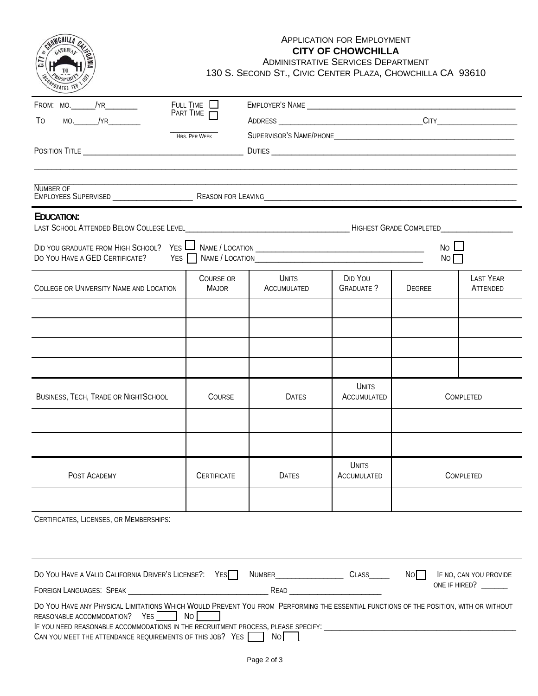| CITY                                                                                                                                                                                                                                      | <b>APPLICATION FOR EMPLOYMENT</b><br><b>CITY OF CHOWCHILLA</b><br><b>ADMINISTRATIVE SERVICES DEPARTMENT</b><br>130 S. SECOND ST., CIVIC CENTER PLAZA, CHOWCHILLA CA 93610 |                             |                             |            |                              |  |  |
|-------------------------------------------------------------------------------------------------------------------------------------------------------------------------------------------------------------------------------------------|---------------------------------------------------------------------------------------------------------------------------------------------------------------------------|-----------------------------|-----------------------------|------------|------------------------------|--|--|
| $FROM: MO.$ $/YR$<br>$MO.$ /YR<br>T <sub>0</sub>                                                                                                                                                                                          | FULL TIME $\Box$<br>PART TIME<br>HRS. PER WEEK                                                                                                                            |                             |                             |            |                              |  |  |
|                                                                                                                                                                                                                                           |                                                                                                                                                                           |                             |                             |            |                              |  |  |
| <b>NUMBER OF</b>                                                                                                                                                                                                                          |                                                                                                                                                                           |                             |                             |            |                              |  |  |
| EDUCATION:                                                                                                                                                                                                                                |                                                                                                                                                                           |                             |                             |            |                              |  |  |
| DO YOU HAVE A GED CERTIFICATE?                                                                                                                                                                                                            | YES II                                                                                                                                                                    |                             |                             | No L<br>NO |                              |  |  |
| <b>COLLEGE OR UNIVERSITY NAME AND LOCATION</b>                                                                                                                                                                                            | COURSE OR<br><b>MAJOR</b>                                                                                                                                                 | <b>UNITS</b><br>ACCUMULATED | DID YOU<br><b>GRADUATE?</b> | DEGREE     | <b>LAST YEAR</b><br>ATTENDED |  |  |
|                                                                                                                                                                                                                                           |                                                                                                                                                                           |                             |                             |            |                              |  |  |
|                                                                                                                                                                                                                                           |                                                                                                                                                                           |                             |                             |            |                              |  |  |
| <b>BUSINESS, TECH, TRADE OR NIGHTSCHOOL</b>                                                                                                                                                                                               | <b>COURSE</b>                                                                                                                                                             | <b>DATES</b>                | UNITS<br>ACCUMULATED        | COMPLETED  |                              |  |  |
|                                                                                                                                                                                                                                           |                                                                                                                                                                           |                             |                             |            |                              |  |  |
| POST ACADEMY                                                                                                                                                                                                                              | <b>CERTIFICATE</b>                                                                                                                                                        | <b>DATES</b>                | UNITS<br>ACCUMULATED        | COMPLETED  |                              |  |  |
| CERTIFICATES, LICENSES, OR MEMBERSHIPS:                                                                                                                                                                                                   |                                                                                                                                                                           |                             |                             |            |                              |  |  |
| DO YOU HAVE A VALID CALIFORNIA DRIVER'S LICENSE?: YES NUMBER_____________________ CLASS______ NONIFROOT IF NO, CAN YOU PROVIDE                                                                                                            |                                                                                                                                                                           |                             |                             |            | ONE IF HIRED?                |  |  |
| DO YOU HAVE ANY PHYSICAL LIMITATIONS WHICH WOULD PREVENT YOU FROM PERFORMING THE ESSENTIAL FUNCTIONS OF THE POSITION, WITH OR WITHOUT<br>REASONABLE ACCOMMODATION? YES NO<br>CAN YOU MEET THE ATTENDANCE REQUIREMENTS OF THIS JOB? YES NO |                                                                                                                                                                           |                             |                             |            |                              |  |  |